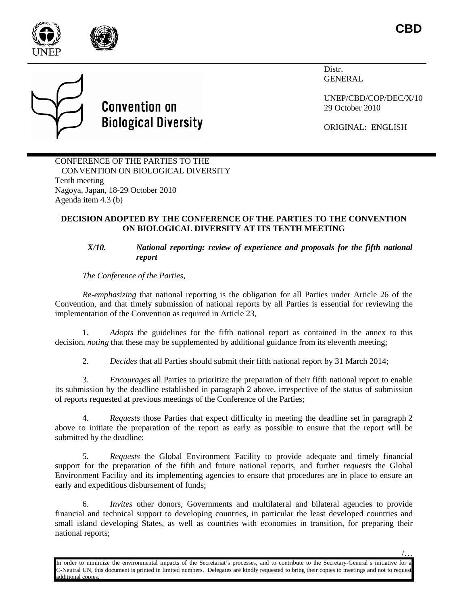

/…

Distr. GENERAL

UNEP/CBD/COP/DEC/X/10 29 October 2010

ORIGINAL: ENGLISH



**Convention on** 

**Biological Diversity** 

Nagoya, Japan, 18-29 October 2010 Agenda item 4.3 (b)

# **DECISION ADOPTED BY THE CONFERENCE OF THE PARTIES TO THE CONVENTION ON BIOLOGICAL DIVERSITY AT ITS TENTH MEETING**

## *X/10. National reporting: review of experience and proposals for the fifth national report*

*The Conference of the Parties,*

*Re-emphasizing* that national reporting is the obligation for all Parties under Article 26 of the Convention, and that timely submission of national reports by all Parties is essential for reviewing the implementation of the Convention as required in Article 23,

1. *Adopts* the guidelines for the fifth national report as contained in the annex to this decision, *noting* that these may be supplemented by additional guidance from its eleventh meeting;

2. *Decides* that all Parties should submit their fifth national report by 31 March 2014;

3. *Encourages* all Parties to prioritize the preparation of their fifth national report to enable its submission by the deadline established in paragraph 2 above, irrespective of the status of submission of reports requested at previous meetings of the Conference of the Parties;

4. *Requests* those Parties that expect difficulty in meeting the deadline set in paragraph 2 above to initiate the preparation of the report as early as possible to ensure that the report will be submitted by the deadline;

5*. Requests* the Global Environment Facility to provide adequate and timely financial support for the preparation of the fifth and future national reports, and further *requests* the Global Environment Facility and its implementing agencies to ensure that procedures are in place to ensure an early and expeditious disbursement of funds;

6. *Invites* other donors, Governments and multilateral and bilateral agencies to provide financial and technical support to developing countries, in particular the least developed countries and small island developing States, as well as countries with economies in transition, for preparing their national reports;

In order to minimize the environmental impacts of the Secretariat's processes, and to contribute to the Secretary-General's initiative for C-Neutral UN, this document is printed in limited numbers. Delegates are kindly requested to bring their copies to meetings and not to request dditional copies.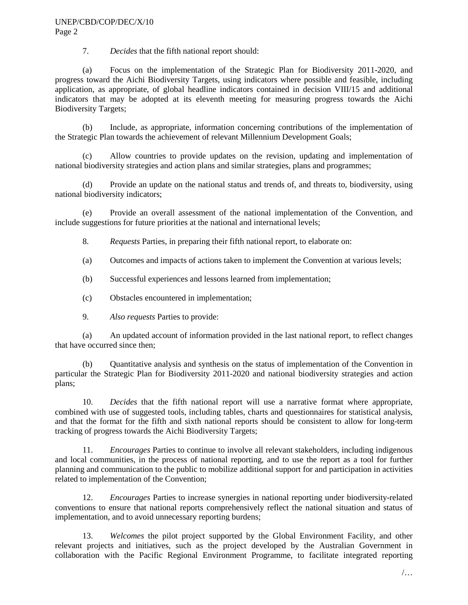#### UNEP/CBD/COP/DEC/X/10 Page 2

7. *Decides* that the fifth national report should:

(a) Focus on the implementation of the Strategic Plan for Biodiversity 2011-2020, and progress toward the Aichi Biodiversity Targets, using indicators where possible and feasible, including application, as appropriate, of global headline indicators contained in decision VIII/15 and additional indicators that may be adopted at its eleventh meeting for measuring progress towards the Aichi Biodiversity Targets;

(b) Include, as appropriate, information concerning contributions of the implementation of the Strategic Plan towards the achievement of relevant Millennium Development Goals;

(c) Allow countries to provide updates on the revision, updating and implementation of national biodiversity strategies and action plans and similar strategies, plans and programmes;

(d) Provide an update on the national status and trends of, and threats to, biodiversity, using national biodiversity indicators;

(e) Provide an overall assessment of the national implementation of the Convention, and include suggestions for future priorities at the national and international levels;

8. *Requests* Parties, in preparing their fifth national report, to elaborate on:

(a) Outcomes and impacts of actions taken to implement the Convention at various levels;

(b) Successful experiences and lessons learned from implementation;

(c) Obstacles encountered in implementation;

9. *Also requests* Parties to provide:

(a) An updated account of information provided in the last national report, to reflect changes that have occurred since then;

(b) Quantitative analysis and synthesis on the status of implementation of the Convention in particular the Strategic Plan for Biodiversity 2011-2020 and national biodiversity strategies and action plans;

10. *Decides* that the fifth national report will use a narrative format where appropriate, combined with use of suggested tools, including tables, charts and questionnaires for statistical analysis, and that the format for the fifth and sixth national reports should be consistent to allow for long-term tracking of progress towards the Aichi Biodiversity Targets;

11. *Encourages* Parties to continue to involve all relevant stakeholders, including indigenous and local communities, in the process of national reporting, and to use the report as a tool for further planning and communication to the public to mobilize additional support for and participation in activities related to implementation of the Convention;

12. *Encourages* Parties to increase synergies in national reporting under biodiversity-related conventions to ensure that national reports comprehensively reflect the national situation and status of implementation, and to avoid unnecessary reporting burdens;

13. *Welcomes* the pilot project supported by the Global Environment Facility, and other relevant projects and initiatives, such as the project developed by the Australian Government in collaboration with the Pacific Regional Environment Programme, to facilitate integrated reporting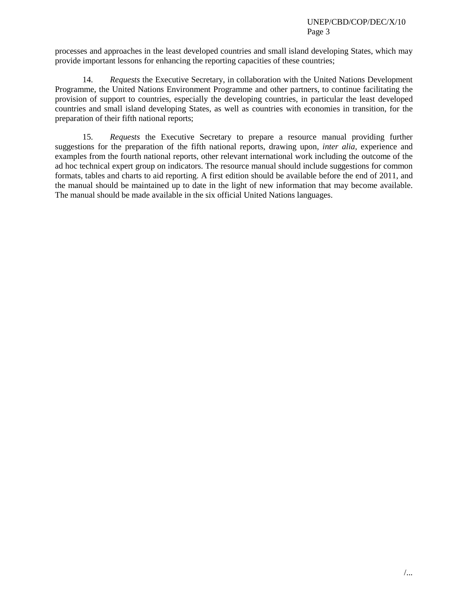processes and approaches in the least developed countries and small island developing States, which may provide important lessons for enhancing the reporting capacities of these countries;

14. *Requests* the Executive Secretary, in collaboration with the United Nations Development Programme, the United Nations Environment Programme and other partners, to continue facilitating the provision of support to countries, especially the developing countries, in particular the least developed countries and small island developing States, as well as countries with economies in transition, for the preparation of their fifth national reports;

15. *Requests* the Executive Secretary to prepare a resource manual providing further suggestions for the preparation of the fifth national reports, drawing upon, *inter alia,* experience and examples from the fourth national reports, other relevant international work including the outcome of the ad hoc technical expert group on indicators. The resource manual should include suggestions for common formats, tables and charts to aid reporting. A first edition should be available before the end of 2011, and the manual should be maintained up to date in the light of new information that may become available. The manual should be made available in the six official United Nations languages.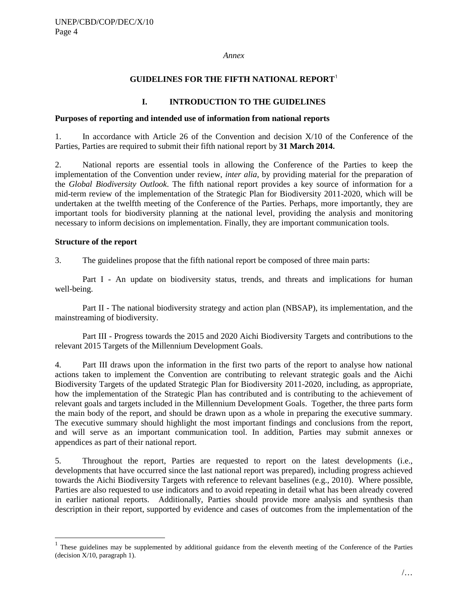*Annex*

#### **GUIDELINES FOR THE FIFTH NATIONAL REPORT**[1](#page-3-0)

## **I. INTRODUCTION TO THE GUIDELINES**

#### **Purposes of reporting and intended use of information from national reports**

1. In accordance with Article 26 of the Convention and decision X/10 of the Conference of the Parties, Parties are required to submit their fifth national report by **31 March 2014.** 

2. National reports are essential tools in allowing the Conference of the Parties to keep the implementation of the Convention under review, *inter alia*, by providing material for the preparation of the *Global Biodiversity Outlook*. The fifth national report provides a key source of information for a mid-term review of the implementation of the Strategic Plan for Biodiversity 2011-2020, which will be undertaken at the twelfth meeting of the Conference of the Parties. Perhaps, more importantly, they are important tools for biodiversity planning at the national level, providing the analysis and monitoring necessary to inform decisions on implementation. Finally, they are important communication tools.

#### **Structure of the report**

3. The guidelines propose that the fifth national report be composed of three main parts:

Part I - An update on biodiversity status, trends, and threats and implications for human well-being.

Part II - The national biodiversity strategy and action plan (NBSAP), its implementation, and the mainstreaming of biodiversity.

Part III - Progress towards the 2015 and 2020 Aichi Biodiversity Targets and contributions to the relevant 2015 Targets of the Millennium Development Goals.

4. Part III draws upon the information in the first two parts of the report to analyse how national actions taken to implement the Convention are contributing to relevant strategic goals and the Aichi Biodiversity Targets of the updated Strategic Plan for Biodiversity 2011-2020, including, as appropriate, how the implementation of the Strategic Plan has contributed and is contributing to the achievement of relevant goals and targets included in the Millennium Development Goals. Together, the three parts form the main body of the report, and should be drawn upon as a whole in preparing the executive summary. The executive summary should highlight the most important findings and conclusions from the report, and will serve as an important communication tool. In addition, Parties may submit annexes or appendices as part of their national report.

5. Throughout the report, Parties are requested to report on the latest developments (i.e., developments that have occurred since the last national report was prepared), including progress achieved towards the Aichi Biodiversity Targets with reference to relevant baselines (e.g., 2010). Where possible, Parties are also requested to use indicators and to avoid repeating in detail what has been already covered in earlier national reports. Additionally, Parties should provide more analysis and synthesis than description in their report, supported by evidence and cases of outcomes from the implementation of the

<span id="page-3-0"></span> <sup>1</sup> These guidelines may be supplemented by additional guidance from the eleventh meeting of the Conference of the Parties (decision X/10, paragraph 1).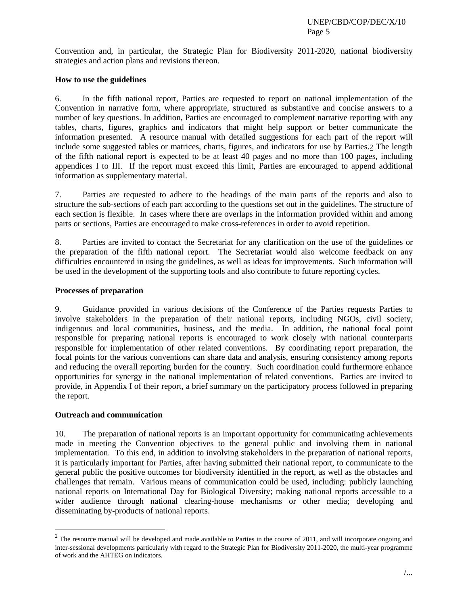Convention and, in particular, the Strategic Plan for Biodiversity 2011-2020, national biodiversity strategies and action plans and revisions thereon.

### **How to use the guidelines**

6. In the fifth national report, Parties are requested to report on national implementation of the Convention in narrative form, where appropriate, structured as substantive and concise answers to a number of key questions. In addition, Parties are encouraged to complement narrative reporting with any tables, charts, figures, graphics and indicators that might help support or better communicate the information presented. A resource manual with detailed suggestions for each part of the report will include some suggested tables or matrices, charts, figures, and indicators for use by Parties.<sup>[2](#page-4-0)</sup> The length of the fifth national report is expected to be at least 40 pages and no more than 100 pages, including appendices I to III. If the report must exceed this limit, Parties are encouraged to append additional information as supplementary material.

7. Parties are requested to adhere to the headings of the main parts of the reports and also to structure the sub-sections of each part according to the questions set out in the guidelines. The structure of each section is flexible. In cases where there are overlaps in the information provided within and among parts or sections, Parties are encouraged to make cross-references in order to avoid repetition.

8. Parties are invited to contact the Secretariat for any clarification on the use of the guidelines or the preparation of the fifth national report. The Secretariat would also welcome feedback on any difficulties encountered in using the guidelines, as well as ideas for improvements. Such information will be used in the development of the supporting tools and also contribute to future reporting cycles.

## **Processes of preparation**

9. Guidance provided in various decisions of the Conference of the Parties requests Parties to involve stakeholders in the preparation of their national reports, including NGOs, civil society, indigenous and local communities, business, and the media. In addition, the national focal point responsible for preparing national reports is encouraged to work closely with national counterparts responsible for implementation of other related conventions. By coordinating report preparation, the focal points for the various conventions can share data and analysis, ensuring consistency among reports and reducing the overall reporting burden for the country. Such coordination could furthermore enhance opportunities for synergy in the national implementation of related conventions. Parties are invited to provide, in Appendix I of their report, a brief summary on the participatory process followed in preparing the report.

### **Outreach and communication**

10. The preparation of national reports is an important opportunity for communicating achievements made in meeting the Convention objectives to the general public and involving them in national implementation. To this end, in addition to involving stakeholders in the preparation of national reports, it is particularly important for Parties, after having submitted their national report, to communicate to the general public the positive outcomes for biodiversity identified in the report, as well as the obstacles and challenges that remain. Various means of communication could be used, including: publicly launching national reports on International Day for Biological Diversity; making national reports accessible to a wider audience through national clearing-house mechanisms or other media; developing and disseminating by-products of national reports.

<span id="page-4-0"></span> $2$  The resource manual will be developed and made available to Parties in the course of 2011, and will incorporate ongoing and inter-sessional developments particularly with regard to the Strategic Plan for Biodiversity 2011-2020, the multi-year programme of work and the AHTEG on indicators.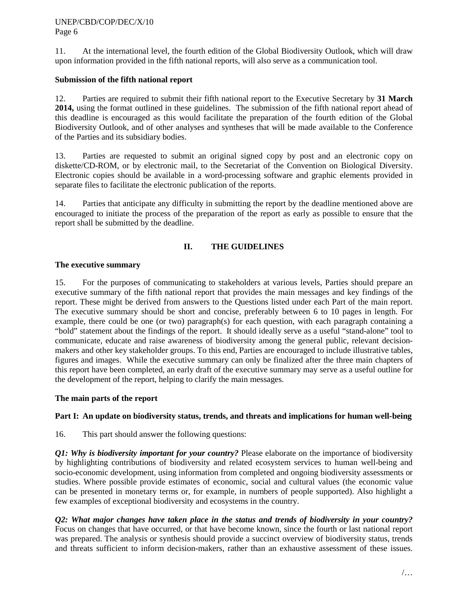11. At the international level, the fourth edition of the Global Biodiversity Outlook, which will draw upon information provided in the fifth national reports, will also serve as a communication tool.

## **Submission of the fifth national report**

12. Parties are required to submit their fifth national report to the Executive Secretary by **31 March 2014,** using the format outlined in these guidelines. The submission of the fifth national report ahead of this deadline is encouraged as this would facilitate the preparation of the fourth edition of the Global Biodiversity Outlook, and of other analyses and syntheses that will be made available to the Conference of the Parties and its subsidiary bodies.

13. Parties are requested to submit an original signed copy by post and an electronic copy on diskette/CD-ROM, or by electronic mail, to the Secretariat of the Convention on Biological Diversity. Electronic copies should be available in a word-processing software and graphic elements provided in separate files to facilitate the electronic publication of the reports.

14. Parties that anticipate any difficulty in submitting the report by the deadline mentioned above are encouraged to initiate the process of the preparation of the report as early as possible to ensure that the report shall be submitted by the deadline.

# **II. THE GUIDELINES**

# **The executive summary**

15. For the purposes of communicating to stakeholders at various levels, Parties should prepare an executive summary of the fifth national report that provides the main messages and key findings of the report. These might be derived from answers to the Questions listed under each Part of the main report. The executive summary should be short and concise, preferably between 6 to 10 pages in length. For example, there could be one (or two) paragraph(s) for each question, with each paragraph containing a "bold" statement about the findings of the report. It should ideally serve as a useful "stand-alone" tool to communicate, educate and raise awareness of biodiversity among the general public, relevant decisionmakers and other key stakeholder groups. To this end, Parties are encouraged to include illustrative tables, figures and images. While the executive summary can only be finalized after the three main chapters of this report have been completed, an early draft of the executive summary may serve as a useful outline for the development of the report, helping to clarify the main messages.

### **The main parts of the report**

# **Part I: An update on biodiversity status, trends, and threats and implications for human well-being**

16. This part should answer the following questions:

*Q1: Why is biodiversity important for your country?* Please elaborate on the importance of biodiversity by highlighting contributions of biodiversity and related ecosystem services to human well-being and socio-economic development, using information from completed and ongoing biodiversity assessments or studies. Where possible provide estimates of economic, social and cultural values (the economic value can be presented in monetary terms or, for example, in numbers of people supported). Also highlight a few examples of exceptional biodiversity and ecosystems in the country.

*Q2: What major changes have taken place in the status and trends of biodiversity in your country?* Focus on changes that have occurred, or that have become known, since the fourth or last national report was prepared. The analysis or synthesis should provide a succinct overview of biodiversity status, trends and threats sufficient to inform decision-makers, rather than an exhaustive assessment of these issues.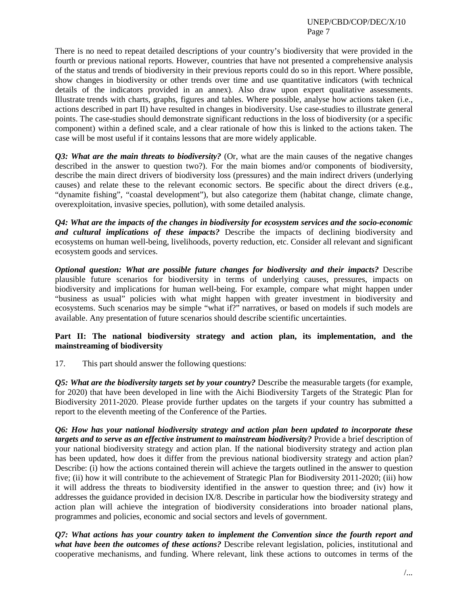There is no need to repeat detailed descriptions of your country's biodiversity that were provided in the fourth or previous national reports. However, countries that have not presented a comprehensive analysis of the status and trends of biodiversity in their previous reports could do so in this report. Where possible, show changes in biodiversity or other trends over time and use quantitative indicators (with technical details of the indicators provided in an annex). Also draw upon expert qualitative assessments. Illustrate trends with charts, graphs, figures and tables. Where possible, analyse how actions taken (i.e., actions described in part II) have resulted in changes in biodiversity. Use case-studies to illustrate general points. The case-studies should demonstrate significant reductions in the loss of biodiversity (or a specific component) within a defined scale, and a clear rationale of how this is linked to the actions taken. The case will be most useful if it contains lessons that are more widely applicable.

*Q3: What are the main threats to biodiversity?* (Or, what are the main causes of the negative changes described in the answer to question two?). For the main biomes and/or components of biodiversity, describe the main direct drivers of biodiversity loss (pressures) and the main indirect drivers (underlying causes) and relate these to the relevant economic sectors. Be specific about the direct drivers (e.g., "dynamite fishing", "coastal development"), but also categorize them (habitat change, climate change, overexploitation, invasive species, pollution), with some detailed analysis.

*Q4: What are the impacts of the changes in biodiversity for ecosystem services and the socio-economic and cultural implications of these impacts?* Describe the impacts of declining biodiversity and ecosystems on human well-being, livelihoods, poverty reduction, etc. Consider all relevant and significant ecosystem goods and services.

*Optional question: What are possible future changes for biodiversity and their impacts?* Describe plausible future scenarios for biodiversity in terms of underlying causes, pressures, impacts on biodiversity and implications for human well-being. For example, compare what might happen under "business as usual" policies with what might happen with greater investment in biodiversity and ecosystems. Such scenarios may be simple "what if?" narratives, or based on models if such models are available. Any presentation of future scenarios should describe scientific uncertainties.

### **Part II: The national biodiversity strategy and action plan, its implementation, and the mainstreaming of biodiversity**

17. This part should answer the following questions:

*Q5: What are the biodiversity targets set by your country?* Describe the measurable targets (for example, for 2020) that have been developed in line with the Aichi Biodiversity Targets of the Strategic Plan for Biodiversity 2011-2020. Please provide further updates on the targets if your country has submitted a report to the eleventh meeting of the Conference of the Parties.

*Q6: How has your national biodiversity strategy and action plan been updated to incorporate these targets and to serve as an effective instrument to mainstream biodiversity?* Provide a brief description of your national biodiversity strategy and action plan. If the national biodiversity strategy and action plan has been updated, how does it differ from the previous national biodiversity strategy and action plan? Describe: (i) how the actions contained therein will achieve the targets outlined in the answer to question five; (ii) how it will contribute to the achievement of Strategic Plan for Biodiversity 2011-2020; (iii) how it will address the threats to biodiversity identified in the answer to question three; and (iv) how it addresses the guidance provided in decision IX/8. Describe in particular how the biodiversity strategy and action plan will achieve the integration of biodiversity considerations into broader national plans, programmes and policies, economic and social sectors and levels of government.

*Q7: What actions has your country taken to implement the Convention since the fourth report and what have been the outcomes of these actions?* Describe relevant legislation, policies, institutional and cooperative mechanisms, and funding. Where relevant, link these actions to outcomes in terms of the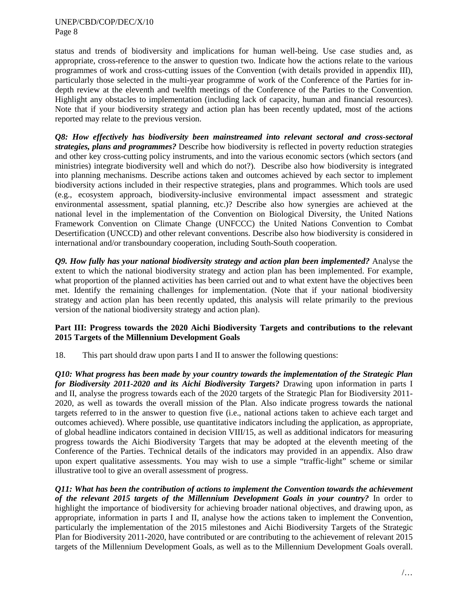#### UNEP/CBD/COP/DEC/X/10 Page 8

status and trends of biodiversity and implications for human well-being. Use case studies and, as appropriate, cross-reference to the answer to question two. Indicate how the actions relate to the various programmes of work and cross-cutting issues of the Convention (with details provided in appendix III), particularly those selected in the multi-year programme of work of the Conference of the Parties for indepth review at the eleventh and twelfth meetings of the Conference of the Parties to the Convention. Highlight any obstacles to implementation (including lack of capacity, human and financial resources). Note that if your biodiversity strategy and action plan has been recently updated, most of the actions reported may relate to the previous version.

*Q8: How effectively has biodiversity been mainstreamed into relevant sectoral and cross-sectoral strategies, plans and programmes?* Describe how biodiversity is reflected in poverty reduction strategies and other key cross-cutting policy instruments, and into the various economic sectors (which sectors (and ministries) integrate biodiversity well and which do not?). Describe also how biodiversity is integrated into planning mechanisms. Describe actions taken and outcomes achieved by each sector to implement biodiversity actions included in their respective strategies, plans and programmes. Which tools are used (e.g., ecosystem approach, biodiversity-inclusive environmental impact assessment and strategic environmental assessment, spatial planning, etc.)? Describe also how synergies are achieved at the national level in the implementation of the Convention on Biological Diversity, the United Nations Framework Convention on Climate Change (UNFCCC) the United Nations Convention to Combat Desertification (UNCCD) and other relevant conventions. Describe also how biodiversity is considered in international and/or transboundary cooperation, including South-South cooperation.

*Q9. How fully has your national biodiversity strategy and action plan been implemented?* Analyse the extent to which the national biodiversity strategy and action plan has been implemented. For example, what proportion of the planned activities has been carried out and to what extent have the objectives been met. Identify the remaining challenges for implementation. (Note that if your national biodiversity strategy and action plan has been recently updated, this analysis will relate primarily to the previous version of the national biodiversity strategy and action plan).

## **Part III: Progress towards the 2020 Aichi Biodiversity Targets and contributions to the relevant 2015 Targets of the Millennium Development Goals**

18. This part should draw upon parts I and II to answer the following questions:

*Q10: What progress has been made by your country towards the implementation of the Strategic Plan for Biodiversity 2011-2020 and its Aichi Biodiversity Targets?* Drawing upon information in parts I and II, analyse the progress towards each of the 2020 targets of the Strategic Plan for Biodiversity 2011- 2020, as well as towards the overall mission of the Plan. Also indicate progress towards the national targets referred to in the answer to question five (i.e., national actions taken to achieve each target and outcomes achieved). Where possible, use quantitative indicators including the application, as appropriate, of global headline indicators contained in decision VIII/15, as well as additional indicators for measuring progress towards the Aichi Biodiversity Targets that may be adopted at the eleventh meeting of the Conference of the Parties. Technical details of the indicators may provided in an appendix. Also draw upon expert qualitative assessments. You may wish to use a simple "traffic-light" scheme or similar illustrative tool to give an overall assessment of progress.

*Q11: What has been the contribution of actions to implement the Convention towards the achievement of the relevant 2015 targets of the Millennium Development Goals in your country?* In order to highlight the importance of biodiversity for achieving broader national objectives, and drawing upon, as appropriate, information in parts I and II, analyse how the actions taken to implement the Convention, particularly the implementation of the 2015 milestones and Aichi Biodiversity Targets of the Strategic Plan for Biodiversity 2011-2020, have contributed or are contributing to the achievement of relevant 2015 targets of the Millennium Development Goals, as well as to the Millennium Development Goals overall.